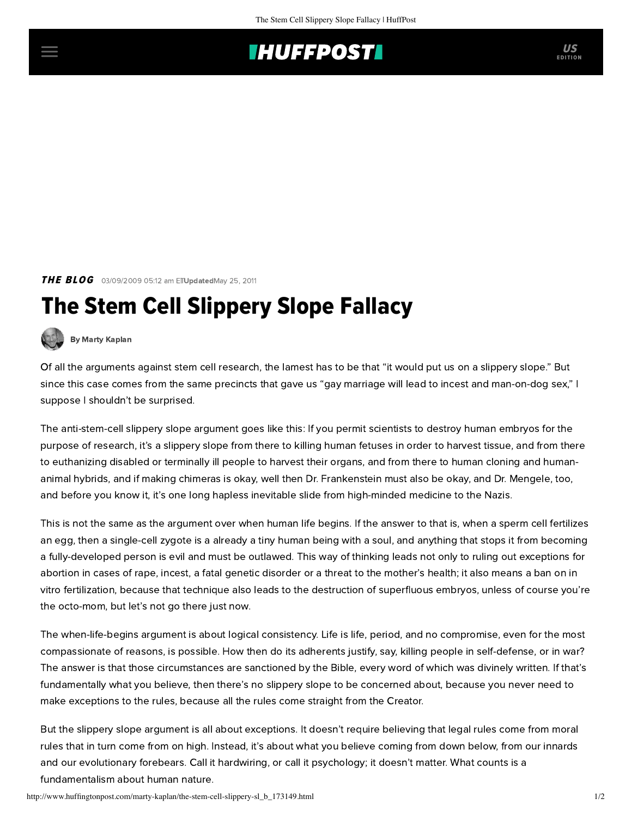## **INUFFPOSTI** US

**THE BLOG** 03/09/2009 05:12 am ETUpdatedMay 25, 2011

## The Stem Cell Slippery Slope Fallacy



[By Marty Kaplan](http://www.huffingtonpost.com/author/marty-kaplan)

Of all the [arguments](http://www.garlikov.com/philosophy/slope.htm) against stem cell research, the lamest has to be that "it would put us on a slippery slope." But since this case comes from the same precincts that gave us "gay marriage will lead to incest and [man-on-dog](http://en.wikipedia.org/wiki/Santorum_controversy) sex," <sup>I</sup> suppose I shouldn't be surprised.

The anti-stem-cell slippery slope argument goes like this: If you permit scientists to destroy human embryos for the purpose of research, it's a slippery slope from there to killing human fetuses in order to harvest tissue, and from there to euthanizing disabled or terminally ill people to harvest their organs, and from there to human cloning and humananimal hybrids, and if making [chimeras](http://thestemcellblog.com/2007/09/05/the-chimeras-are-coming-uh-wait-theyve-arrived/) is okay, well then Dr. Frankenstein must also be okay, and Dr. Mengele, too, and before you know it, it's one long hapless inevitable slide from high-minded medicine to the Nazis.

This is not the same as the argument over when human life begins. If the answer to that is, when a sperm cell fertilizes an egg, then a single-cell zygote is a already a [tiny human being](http://www.nytimes.com/2009/03/07/us/politics/07stem.html) with a soul, and anything that stops it from becoming a fully-developed person is evil and must be outlawed. This way of thinking leads not only to ruling out exceptions for abortion in cases of rape, incest, a fatal genetic disorder or a threat to the mother's health; it also means a ban on in vitro fertilization, because that technique also leads to the destruction of superfluous embryos, unless of course you're the octo-mom, but let's not go there just now.

The when-life-begins argument is about logical consistency. Life is life, period, and no compromise, even for the most compassionate of reasons, is possible. How then do its adherents justify, say, killing people in self-defense, or in war? The answer is that those circumstances are sanctioned by the Bible, every word of which was divinely written. If that's fundamentally what you believe, then there's no slippery slope to be concerned about, because you never need to make exceptions to the rules, because all the rules come straight from the Creator.

But the slippery slope argument is all about exceptions. It doesn't require believing that legal rules come from moral rules that in turn come from on high. Instead, it's about what you believe coming from down below, from our innards and our evolutionary forebears. Call it hardwiring, or call it psychology; it doesn't matter. What counts is a fundamentalism about human nature.